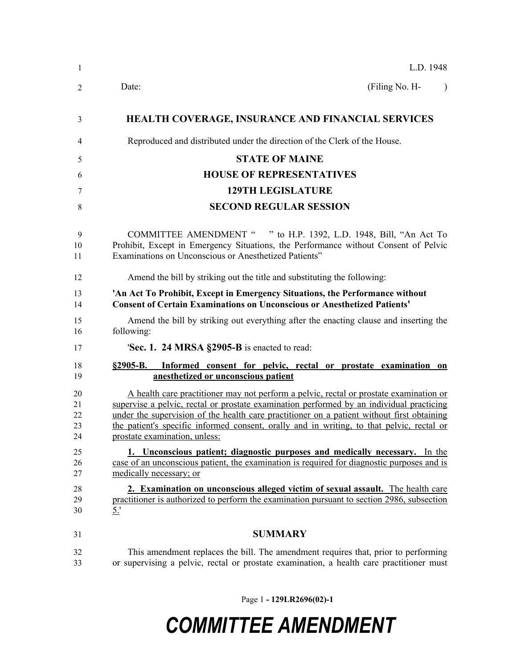| 1                          | L.D. 1948                                                                                                                                                                                                                                                                                                                                                                                                      |
|----------------------------|----------------------------------------------------------------------------------------------------------------------------------------------------------------------------------------------------------------------------------------------------------------------------------------------------------------------------------------------------------------------------------------------------------------|
| 2                          | (Filing No. H-<br>Date:<br>$\lambda$                                                                                                                                                                                                                                                                                                                                                                           |
| 3                          | <b>HEALTH COVERAGE, INSURANCE AND FINANCIAL SERVICES</b>                                                                                                                                                                                                                                                                                                                                                       |
| 4                          | Reproduced and distributed under the direction of the Clerk of the House.                                                                                                                                                                                                                                                                                                                                      |
| 5                          | <b>STATE OF MAINE</b>                                                                                                                                                                                                                                                                                                                                                                                          |
| 6                          | <b>HOUSE OF REPRESENTATIVES</b>                                                                                                                                                                                                                                                                                                                                                                                |
| 7                          | <b>129TH LEGISLATURE</b>                                                                                                                                                                                                                                                                                                                                                                                       |
| 8                          | <b>SECOND REGULAR SESSION</b>                                                                                                                                                                                                                                                                                                                                                                                  |
| 9<br>10<br>11              | COMMITTEE AMENDMENT " " to H.P. 1392, L.D. 1948, Bill, "An Act To<br>Prohibit, Except in Emergency Situations, the Performance without Consent of Pelvic<br>Examinations on Unconscious or Anesthetized Patients"                                                                                                                                                                                              |
| 12                         | Amend the bill by striking out the title and substituting the following:                                                                                                                                                                                                                                                                                                                                       |
| 13<br>14                   | 'An Act To Prohibit, Except in Emergency Situations, the Performance without<br><b>Consent of Certain Examinations on Unconscious or Anesthetized Patients'</b>                                                                                                                                                                                                                                                |
| 15<br>16                   | Amend the bill by striking out everything after the enacting clause and inserting the<br>following:                                                                                                                                                                                                                                                                                                            |
| 17                         | <b>Sec. 1. 24 MRSA §2905-B</b> is enacted to read:                                                                                                                                                                                                                                                                                                                                                             |
| 18<br>19                   | §2905-B. Informed consent for pelvic, rectal or prostate examination on<br>anesthetized or unconscious patient                                                                                                                                                                                                                                                                                                 |
| 20<br>21<br>22<br>23<br>24 | A health care practitioner may not perform a pelvic, rectal or prostate examination or<br>supervise a pelvic, rectal or prostate examination performed by an individual practicing<br>under the supervision of the health care practitioner on a patient without first obtaining<br>the patient's specific informed consent, orally and in writing, to that pelvic, rectal or<br>prostate examination, unless: |
| 25<br>26<br>27             | 1. Unconscious patient; diagnostic purposes and medically necessary. In the<br>case of an unconscious patient, the examination is required for diagnostic purposes and is<br>medically necessary; or                                                                                                                                                                                                           |
| 28<br>29<br>30             | 2. Examination on unconscious alleged victim of sexual assault. The health care<br>practitioner is authorized to perform the examination pursuant to section 2986, subsection<br>5.'                                                                                                                                                                                                                           |
| 31                         | <b>SUMMARY</b>                                                                                                                                                                                                                                                                                                                                                                                                 |
| 32<br>33                   | This amendment replaces the bill. The amendment requires that, prior to performing<br>or supervising a pelvic, rectal or prostate examination, a health care practitioner must                                                                                                                                                                                                                                 |

Page 1 **- 129LR2696(02)-1**

## *COMMITTEE AMENDMENT*